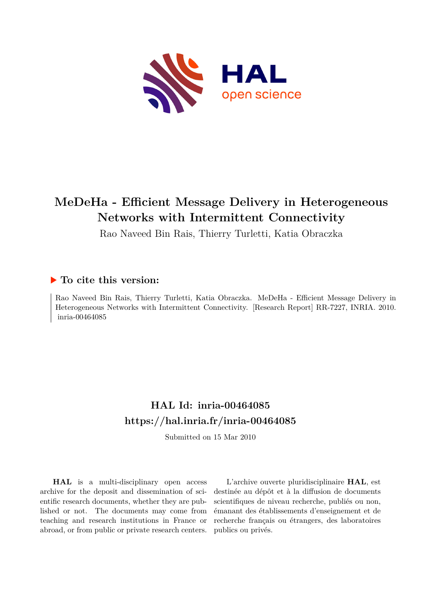

# **MeDeHa - Efficient Message Delivery in Heterogeneous Networks with Intermittent Connectivity**

Rao Naveed Bin Rais, Thierry Turletti, Katia Obraczka

### **To cite this version:**

Rao Naveed Bin Rais, Thierry Turletti, Katia Obraczka. MeDeHa - Efficient Message Delivery in Heterogeneous Networks with Intermittent Connectivity. [Research Report] RR-7227, INRIA. 2010. inria-00464085

# **HAL Id: inria-00464085 <https://hal.inria.fr/inria-00464085>**

Submitted on 15 Mar 2010

**HAL** is a multi-disciplinary open access archive for the deposit and dissemination of scientific research documents, whether they are published or not. The documents may come from teaching and research institutions in France or abroad, or from public or private research centers.

L'archive ouverte pluridisciplinaire **HAL**, est destinée au dépôt et à la diffusion de documents scientifiques de niveau recherche, publiés ou non, émanant des établissements d'enseignement et de recherche français ou étrangers, des laboratoires publics ou privés.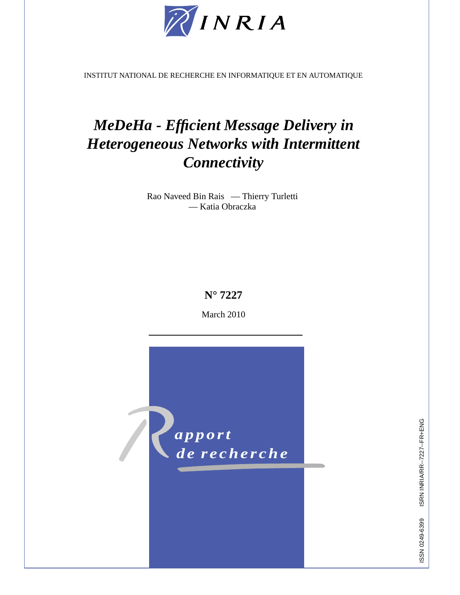

INSTITUT NATIONAL DE RECHERCHE EN INFORMATIQUE ET EN AUTOMATIQUE

# *MeDeHa - Efficient Message Delivery in Heterogeneous Networks with Intermittent Connectivity*

Rao Naveed Bin Rais — Thierry Turletti — Katia Obraczka

### **N° 7227**

March 2010



ISRN INRIA/RR--7227--FR+ENG ISSN 0249-6399 ISRN INRIA/RR--7227--FR+ENG ISSN 0249-6399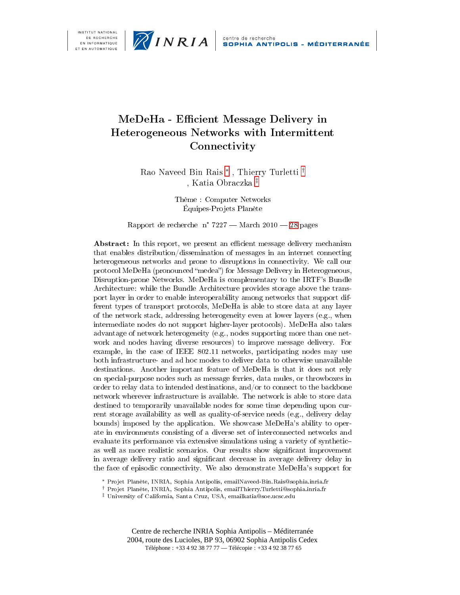

## MeDeHa - Efficient Message Delivery in Heterogeneous Networks with Intermittent Connectivity

Rao Naveed Bin Rais<sup>\*</sup>, Thierry Turletti<sup>†</sup> , Katia Obraczka<sup>‡</sup>

> Thème : Computer Networks Équipes-Projets Planète

Rapport de recherche n° 7227 – March 2010 – 28 pages

Abstract: In this report, we present an efficient message delivery mechanism that enables distribution/dissemination of messages in an internet connecting heterogeneous networks and prone to disruptions in connectivity. We call our protocol MeDeHa (pronounced "medea") for Message Delivery in Heterogeneous, Disruption-prone Networks. MeDeHa is complementary to the IRTF's Bundle Architecture: while the Bundle Architecture provides storage above the transport layer in order to enable interoperability among networks that support different types of transport protocols, MeDeHa is able to store data at any layer of the network stack, addressing heterogeneity even at lower layers (e.g., when intermediate nodes do not support higher-layer protocols). MeDeHa also takes advantage of network heterogeneity (e.g., nodes supporting more than one network and nodes having diverse resources) to improve message delivery. For example, in the case of IEEE 802.11 networks, participating nodes may use both infrastructure- and ad hoc modes to deliver data to otherwise unavailable destinations. Another important feature of MeDeHa is that it does not rely on special-purpose nodes such as message ferries, data mules, or throwboxes in order to relay data to intended destinations, and/or to connect to the backbone network wherever infrastructure is available. The network is able to store data destined to temporarily unavailable nodes for some time depending upon current storage availability as well as quality-of-service needs (e.g., delivery delay bounds) imposed by the application. We showcase MeDeHa's ability to operate in environments consisting of a diverse set of interconnected networks and evaluate its performance via extensive simulations using a variety of syntheticas well as more realistic scenarios. Our results show significant improvement in average delivery ratio and significant decrease in average delivery delay in the face of episodic connectivity. We also demonstrate MeDeHa's support for

Centre de recherche INRIA Sophia Antipolis – Méditerranée 2004, route des Lucioles, BP 93, 06902 Sophia Antipolis Cedex Téléphone: +33 4 92 38 77 77 - Télécopie: +33 4 92 38 77 65

<sup>\*</sup> Projet Planète, INRIA, Sophia Antipolis, emailNaveed-Bin.Rais@sophia.inria.fr

<sup>&</sup>lt;sup>†</sup> Projet Planète, INRIA, Sophia Antipolis, emailThierry.Turletti@sophia.inria.fr

<sup>&</sup>lt;sup>‡</sup> University of California, Santa Cruz, USA, emailkatia@soe.ucsc.edu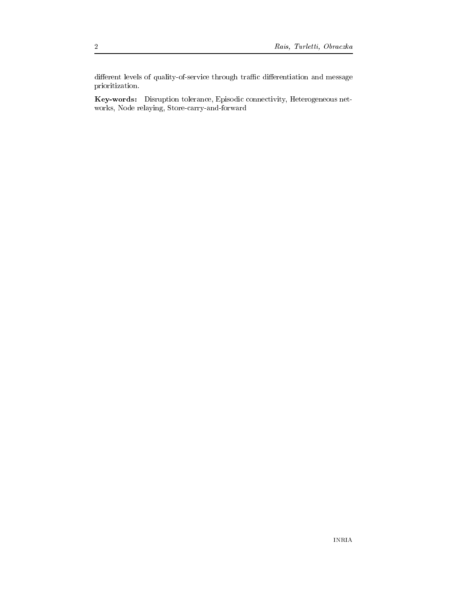different levels of quality-of-service through traffic differentiation and message prioritization.

Key-words: Disruption tolerance, Episodic connectivity, Heterogeneous networks, Node relaying, Store-carry-and-forward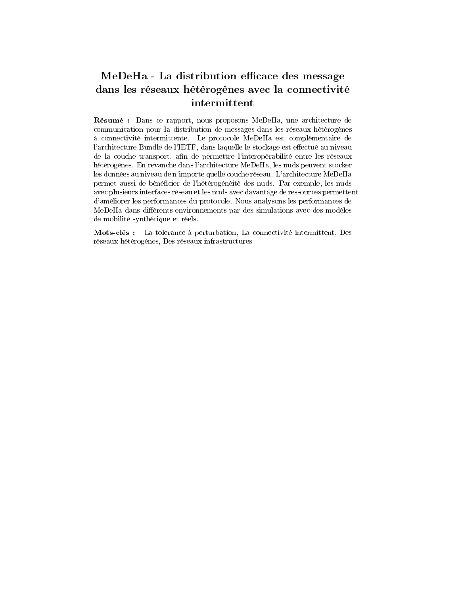## MeDeHa - La distribution efficace des message dans les réseaux hétérogènes avec la connectivité intermittent

Résumé : Dans ce rapport, nous proposons MeDeHa, une architecture de communication pour la distribution de messages dans les réseaux hétérogènes à connectivité intermittente. Le protocole MeDeHa est complémentaire de l'architecture Bundle de l'IETF, dans laquelle le stockage est effectué au niveau de la couche transport, afin de permettre l'interopérabilité entre les réseaux hétérogènes. En revanche dans l'architecture MeDeHa, les nuds peuvent stocker les données au niveau de n'importe quelle couche réseau. L'architecture MeDeHa permet aussi de bénéficier de l'hétérogénéité des nuds. Par exemple, les nuds avec plusieurs interfaces réseau et les nuds avec davantage de ressources permettent d'améliorer les performances du protocole. Nous analysons les performances de MeDeHa dans différents environnements par des simulations avec des modèles de mobilité synthétique et réels.

Mots-clés : La tolerance à perturbation, La connectivité intermittent, Des réseaux hétérogènes, Des réseaux infrastructures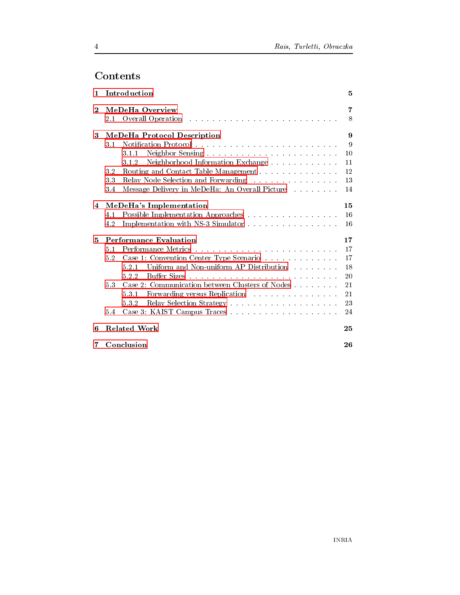# Contents

 $\overline{4}$ 

| 1            |                             | Introduction                                     | 5  |  |  |  |  |
|--------------|-----------------------------|--------------------------------------------------|----|--|--|--|--|
| $\mathbf{2}$ | MeDeHa Overview             | 7                                                |    |  |  |  |  |
|              | 2.1                         |                                                  | 8  |  |  |  |  |
| 3            | MeDeHa Protocol Description |                                                  |    |  |  |  |  |
|              | 3.1                         |                                                  | 9  |  |  |  |  |
|              |                             | 3.1.1                                            | 10 |  |  |  |  |
|              |                             | Neighborhood Information Exchange<br>312         | 11 |  |  |  |  |
|              | 3.2                         | Routing and Contact Table Management             | 12 |  |  |  |  |
|              | 3.3                         | Relay Node Selection and Forwarding              | 13 |  |  |  |  |
|              | 3.4                         | Message Delivery in MeDeHa: An Overall Picture   | 14 |  |  |  |  |
| 4            |                             | MeDeHa's Implementation                          |    |  |  |  |  |
|              | 4.1                         | Possible Implementation Approaches               | 16 |  |  |  |  |
|              | 4.2                         | Implementation with NS-3 Simulator               | 16 |  |  |  |  |
| 5            |                             | <b>Performance Evaluation</b>                    | 17 |  |  |  |  |
|              | 5.1                         |                                                  | 17 |  |  |  |  |
|              | 5.2                         | Case 1: Convention Center Type Scenario          | 17 |  |  |  |  |
|              |                             | Uniform and Non-uniform AP Distribution<br>5.2.1 | 18 |  |  |  |  |
|              |                             | 5.2.2                                            | 20 |  |  |  |  |
|              | 5.3                         | Case 2: Communication between Clusters of Nodes  | 21 |  |  |  |  |
|              |                             | Forwarding versus Replication<br>531             | 21 |  |  |  |  |
|              |                             | 532                                              | 23 |  |  |  |  |
|              | 5.4                         |                                                  | 24 |  |  |  |  |
| 6            | <b>Related Work</b><br>25   |                                                  |    |  |  |  |  |
| 7            |                             | Conclusion                                       | 26 |  |  |  |  |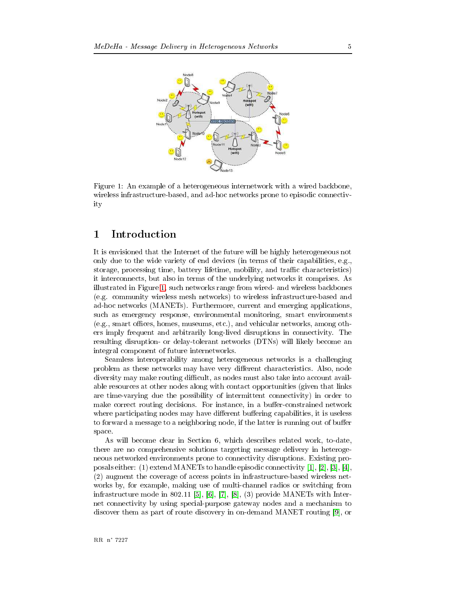

<span id="page-7-1"></span>Figure 1: An example of a heterogeneous internetwork with a wired backbone, wireless infrastructure-based, and ad-hoc networks prone to episodic connectivity

#### <span id="page-7-0"></span>Introduction  $\mathbf 1$

It is envisioned that the Internet of the future will be highly heterogeneous not only due to the wide variety of end devices (in terms of their capabilities, e.g. storage, processing time, battery lifetime, mobility, and traffic characteristics) it interconnects, but also in terms of the underlying networks it comprises. As illustrated in Figure 1, such networks range from wired- and wireless backbones (e.g. community wireless mesh networks) to wireless infrastructure-based and ad-hoc networks (MANETs). Furthermore, current and emerging applications, such as emergency response, environmental monitoring, smart environments  $(e.g., smart offices, homes, museums, etc.), and vehicular networks, among oth$ ers imply frequent and arbitrarily long-lived disruptions in connectivity. The resulting disruption- or delay-tolerant networks (DTNs) will likely become an integral component of future internetworks.

Seamless interoperability among heterogeneous networks is a challenging problem as these networks may have very different characteristics. Also, node diversity may make routing difficult, as nodes must also take into account available resources at other nodes along with contact opportunities (given that links are time-varying due the possibility of intermittent connectivity) in order to make correct routing decisions. For instance, in a buffer-constrained network where participating nodes may have different buffering capabilities, it is useless to forward a message to a neighboring node, if the latter is running out of buffer space.

As will become clear in Section 6, which describes related work, to-date, there are no comprehensive solutions targeting message delivery in heterogeneous networked environments prone to connectivity disruptions. Existing proposals either: (1) extend MANETs to handle episodic connectivity [1], [2], [3], [4], (2) augment the coverage of access points in infrastructure-based wireless networks by, for example, making use of multi-channel radios or switching from infrastructure mode in 802.11 [5], [6], [7], [8], (3) provide MANETs with Internet connectivity by using special-purpose gateway nodes and a mechanism to discover them as part of route discovery in on-demand MANET routing [9], or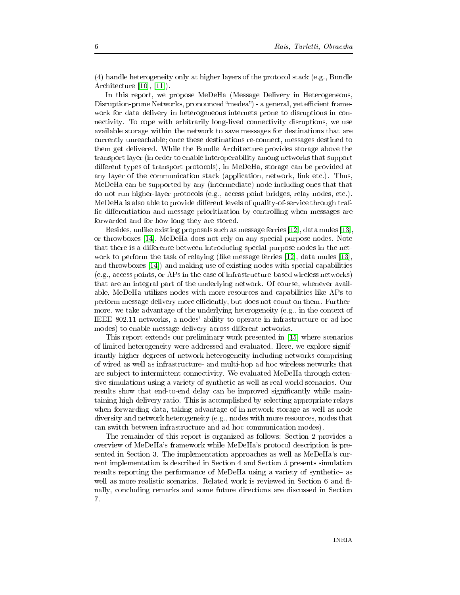(4) handle heterogeneity only at higher layers of the protocol stack (e.g., Bundle Architecture  $[10]$ ,  $[11]$ ).

In this report, we propose MeDeHa (Message Delivery in Heterogeneous, Disruption-prone Networks, pronounced "medea") - a general, yet efficient framework for data delivery in heterogeneous internets prone to disruptions in connectivity. To cope with arbitrarily long-lived connectivity disruptions, we use available storage within the network to save messages for destinations that are currently unreachable; once these destinations re-connect, messages destined to them get delivered. While the Bundle Architecture provides storage above the transport layer (in order to enable interoperability among networks that support different types of transport protocols), in MeDeHa, storage can be provided at any layer of the communication stack (application, network, link etc.). Thus, MeDeHa can be supported by any (intermediate) node including ones that that do not run higher-layer protocols (e.g., access point bridges, relay nodes, etc.). MeDeHa is also able to provide different levels of quality-of-service through traffic differentiation and message prioritization by controlling when messages are forwarded and for how long they are stored.

Besides, unlike existing proposals such as message ferries [12], data mules [13] or throwboxes [14], MeDeHa does not rely on any special-purpose nodes. Note that there is a difference between introducing special-purpose nodes in the network to perform the task of relaying (like message ferries [12], data mules [13], and throwboxes [14] and making use of existing nodes with special capabilities (e.g., access points, or APs in the case of infrastructure-based wireless networks) that are an integral part of the underlying network. Of course, whenever available, MeDeHa utilizes nodes with more resources and capabilities like APs to perform message delivery more efficiently, but does not count on them. Furthermore, we take advantage of the underlying heterogeneity (e.g., in the context of IEEE 802.11 networks, a nodes' ability to operate in infrastructure or ad-hoc modes) to enable message delivery across different networks.

This report extends our preliminary work presented in [15] where scenarios of limited heterogeneity were addressed and evaluated. Here, we explore significantly higher degrees of network heterogeneity including networks comprising of wired as well as infrastructure- and multi-hop ad hoc wireless networks that are subject to intermittent connectivity. We evaluated MeDeHa through extensive simulations using a variety of synthetic as well as real-world scenarios. Our results show that end-to-end delay can be improved significantly while maintaining high delivery ratio. This is accomplished by selecting appropriate relays when forwarding data, taking advantage of in-network storage as well as node diversity and network heterogeneity (e.g., nodes with more resources, nodes that can switch between infrastructure and ad hoc communication modes).

The remainder of this report is organized as follows: Section 2 provides a overview of MeDeHa's framework while MeDeHa's protocol description is presented in Section 3. The implementation approaches as well as MeDeHa's current implementation is described in Section 4 and Section 5 presents simulation results reporting the performance of MeDeHa using a variety of synthetic- as well as more realistic scenarios. Related work is reviewed in Section 6 and finally, concluding remarks and some future directions are discussed in Section 7.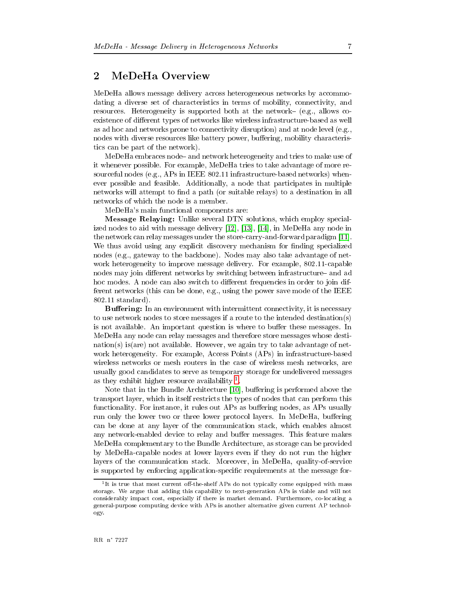### <span id="page-9-0"></span>MeDeHa Overview  $\overline{2}$

MeDeHa allows message delivery across heterogeneous networks by accommodating a diverse set of characteristics in terms of mobility, connectivity, and resources. Heterogeneity is supported both at the network- (e.g., allows coexistence of different types of networks like wireless infrastructure-based as well as ad hoc and networks prone to connectivity disruption) and at node level (e.g., nodes with diverse resources like battery power, buffering, mobility characteristics can be part of the network).

MeDeHa embraces node- and network heterogeneity and tries to make use of it whenever possible. For example, MeDeHa tries to take advantage of more resourceful nodes (e.g., APs in IEEE  $802.11$  infrastructure-based networks) whenever possible and feasible. Additionally, a node that participates in multiple networks will attempt to find a path (or suitable relays) to a destination in all networks of which the node is a member.

MeDeHa's main functional components are:

Message Relaying: Unlike several DTN solutions, which employ specialized nodes to aid with message delivery [12], [13], [14], in MeDeHa any node in the network can relay messages under the store-carry-and-forward paradigm [11]. We thus avoid using any explicit discovery mechanism for finding specialized nodes (e.g., gateway to the backbone). Nodes may also take advantage of network heterogeneity to improve message delivery. For example, 802.11-capable nodes may join different networks by switching between infrastructure- and ad hoc modes. A node can also switch to different frequencies in order to join different networks (this can be done, e.g., using the power save mode of the IEEE  $802.11$  standard).

**Buffering:** In an environment with intermittent connectivity, it is necessary to use network nodes to store messages if a route to the intended destination(s) is not available. An important question is where to buffer these messages. In MeDeHa any node can relay messages and therefore store messages whose desti- $\text{ratio}(s)$  is (are) not available. However, we again try to take advantage of network heterogeneity. For example, Access Points (APs) in infrastructure-based wireless networks or mesh routers in the case of wireless mesh networks, are usually good candidates to serve as temporary storage for undelivered messages as they exhibit higher resource availability  $1$ 

Note that in the Bundle Architecture [10], buffering is performed above the transport layer, which in itself restricts the types of nodes that can perform this functionality. For instance, it rules out APs as buffering nodes, as APs usually run only the lower two or three lower protocol layers. In MeDeHa, buffering can be done at any layer of the communication stack, which enables almost any network-enabled device to relay and buffer messages. This feature makes MeDeHa complementary to the Bundle Architecture, as storage can be provided by MeDeHa-capable nodes at lower layers even if they do not run the higher layers of the communication stack. Moreover, in MeDeHa, quality-of-service is supported by enforcing application-specific requirements at the message for-

<span id="page-9-1"></span><sup>&</sup>lt;sup>1</sup>It is true that most current off-the-shelf APs do not typically come equipped with mass storage. We argue that adding this capability to next-generation APs is viable and will not considerably impact cost, especially if there is market demand. Furthermore, co-locating a general-purpose computing device with APs is another alternative given current AP technology.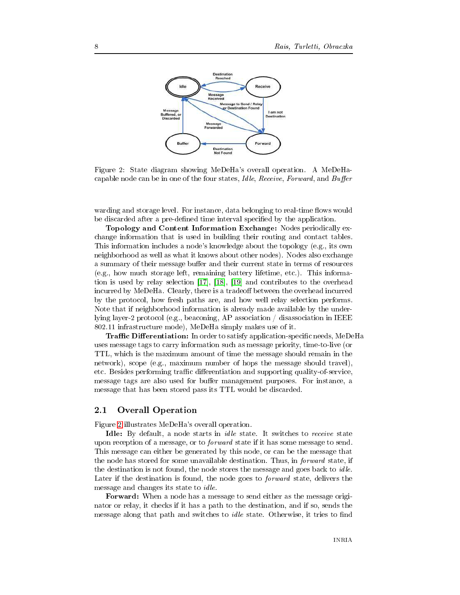

<span id="page-10-1"></span>Figure 2: State diagram showing MeDeHa's overall operation. A MeDeHacapable node can be in one of the four states, *Idle, Receive, Forward*, and *Buffer* 

warding and storage level. For instance, data belonging to real-time flows would be discarded after a pre-defined time interval specified by the application.

Topology and Content Information Exchange: Nodes periodically exchange information that is used in building their routing and contact tables. This information includes a node's knowledge about the topology (e.g., its own neighborhood as well as what it knows about other nodes). Nodes also exchange a summary of their message buffer and their current state in terms of resources (e.g., how much storage left, remaining battery lifetime, etc.). This information is used by relay selection [17], [18], [19] and contributes to the overhead incurred by MeDeHa. Clearly, there is a tradeoff between the overhead incurred by the protocol, how fresh paths are, and how well relay selection performs. Note that if neighborhood information is already made available by the underlying layer-2 protocol (e.g., beaconing, AP association / disassociation in IEEE 802.11 infrastructure mode), MeDeHa simply makes use of it.

**Traffic Differentiation:** In order to satisfy application-specific needs, MeDeHa uses message tags to carry information such as message priority, time-to-live (or TTL, which is the maximum amount of time the message should remain in the network), scope (e.g., maximum number of hops the message should travel), etc. Besides performing traffic differentiation and supporting quality-of-service, message tags are also used for buffer management purposes. For instance, a message that has been stored pass its TTL would be discarded.

#### <span id="page-10-0"></span>**Overall Operation**  $2.1$

Figure 2 illustrates MeDeHa's overall operation.

Idle: By default, a node starts in *idle* state. It switches to *receive* state upon reception of a message, or to *forward* state if it has some message to send. This message can either be generated by this node, or can be the message that the node has stored for some unavailable destination. Thus, in forward state, if the destination is not found, the node stores the message and goes back to *idle*. Later if the destination is found, the node goes to *forward* state, delivers the message and changes its state to *idle*.

**Forward:** When a node has a message to send either as the message originator or relay, it checks if it has a path to the destination, and if so, sends the message along that path and switches to *idle* state. Otherwise, it tries to find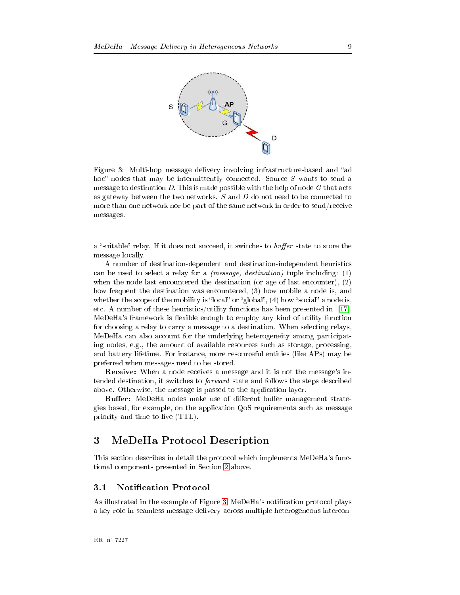

<span id="page-11-2"></span>Figure 3: Multi-hop message delivery involving infrastructure-based and "ad hoc" nodes that may be intermittently connected. Source  $S$  wants to send a message to destination D. This is made possible with the help of node G that acts as gateway between the two networks.  $S$  and  $D$  do not need to be connected to more than one network nor be part of the same network in order to send/receive messages.

a "suitable" relay. If it does not succeed, it switches to *buffer* state to store the message locally.

A number of destination-dependent and destination-independent heuristics can be used to select a relay for a *(message, destination)* tuple including:  $(1)$ when the node last encountered the destination (or age of last encounter),  $(2)$ how frequent the destination was encountered, (3) how mobile a node is, and whether the scope of the mobility is "local" or "global",  $(4)$  how "social" a node is, etc. A number of these heuristics/utility functions has been presented in [17]. MeDeHa's framework is flexible enough to employ any kind of utility function for choosing a relay to carry a message to a destination. When selecting relays, MeDeHa can also account for the underlying heterogeneity among participating nodes, e.g., the amount of available resources such as storage, processing, and battery lifetime. For instance, more resourceful entities (like APs) may be preferred when messages need to be stored.

**Receive:** When a node receives a message and it is not the message's intended destination, it switches to *forward* state and follows the steps described above. Otherwise, the message is passed to the application layer.

**Buffer:** MeDeHa nodes make use of different buffer management strategies based, for example, on the application QoS requirements such as message priority and time-to-live (TTL).

#### <span id="page-11-0"></span>MeDeHa Protocol Description 3

This section describes in detail the protocol which implements MeDeHa's functional components presented in Section 2 above.

#### <span id="page-11-1"></span> $3.1$ **Notification Protocol**

As illustrated in the example of Figure 3, MeDeHa's notification protocol plays a key role in seamless message delivery across multiple heterogeneous intercon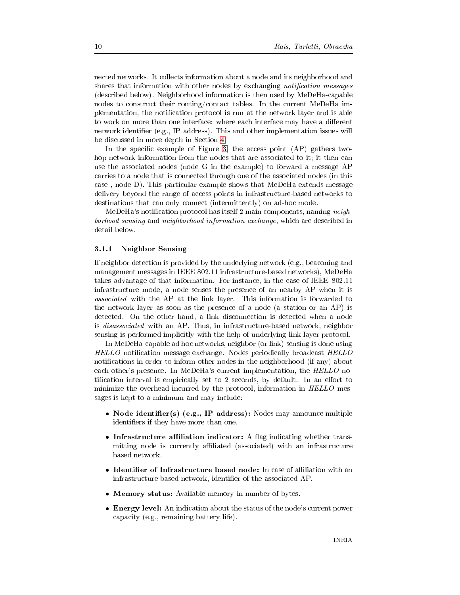nected networks. It collects information about a node and its neighborhood and shares that information with other nodes by exchanging notification messages (described below). Neighborhood information is then used by MeDeHa-capable nodes to construct their routing/contact tables. In the current MeDeHa implementation, the notification protocol is run at the network layer and is able to work on more than one interface: where each interface may have a different network identifier (e.g., IP address). This and other implementation issues will be discussed in more depth in Section 4.

In the specific example of Figure 3, the access point  $AP$  gathers twohop network information from the nodes that are associated to it; it then can use the associated nodes (node G in the example) to forward a message AP carries to a node that is connected through one of the associated nodes (in this case, node D). This particular example shows that MeDeHa extends message delivery beyond the range of access points in infrastructure-based networks to destinations that can only connect (intermittently) on ad-hoc mode.

MeDeHa's notification protocol has itself 2 main components, naming *neigh*borhood sensing and neighborhood information exchange, which are described in detail below.

### <span id="page-12-0"></span>3.1.1 Neighbor Sensing

If neighbor detection is provided by the underlying network (e.g., beaconing and management messages in IEEE 802.11 infrastructure-based networks), MeDeHa takes advantage of that information. For instance, in the case of IEEE 802.11 infrastructure mode, a node senses the presence of an nearby AP when it is *associated* with the AP at the link layer. This information is forwarded to the network layer as soon as the presence of a node (a station or an AP) is detected. On the other hand, a link disconnection is detected when a node is *disassociated* with an AP. Thus, in infrastructure-based network, neighbor sensing is performed implicitly with the help of underlying link-layer protocol.

In MeDeHa-capable ad hoc networks, neighbor (or link) sensing is done using *HELLO* notification message exchange. Nodes periodically broadcast *HELLO* notifications in order to inform other nodes in the neighborhood (if any) about each other's presence. In MeDeHa's current implementation, the HELLO notification interval is empirically set to 2 seconds, by default. In an effort to minimize the overhead incurred by the protocol, information in HELLO messages is kept to a minimum and may include:

- Node identifier(s) (e.g., IP address): Nodes may announce multiple identifiers if they have more than one.
- Infrastructure affiliation indicator: A flag indicating whether transmitting node is currently affiliated (associated) with an infrastructure based network.
- Identifier of Infrastructure based node: In case of affiliation with an infrastructure based network, identifier of the associated AP.
- Memory status: Available memory in number of bytes.
- Energy level: An indication about the status of the node's current power capacity (e.g., remaining battery life).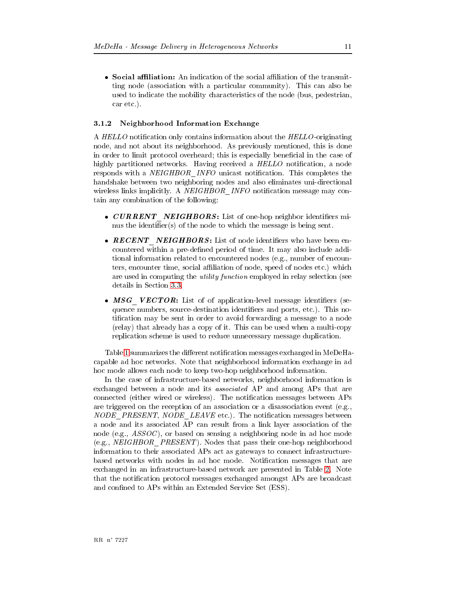• Social affiliation: An indication of the social affiliation of the transmitting node (association with a particular community). This can also be used to indicate the mobility characteristics of the node (bus, pedestrian, car etc.).

### <span id="page-13-0"></span>3.1.2 Neighborhood Information Exchange

A HELLO notification only contains information about the HELLO-originating node, and not about its neighborhood. As previously mentioned, this is done in order to limit protocol overheard; this is especially beneficial in the case of highly partitioned networks. Having received a HELLO notification, a node responds with a NEIGHBOR INFO unicast notification. This completes the handshake between two neighboring nodes and also eliminates uni-directional wireless links implicitly. A NEIGHBOR INFO notification message may contain any combination of the following:

- CURRENT NEIGHBORS: List of one-hop neighbor identifiers minus the identifier(s) of the node to which the message is being sent.
- RECENT NEIGHBORS: List of node identifiers who have been encountered within a pre-defined period of time. It may also include additional information related to encountered nodes (e.g., number of encounters, encounter time, social affiliation of node, speed of nodes etc.) which are used in computing the *utility function* employed in relay selection (see details in Section 3.3.
- MSG VECTOR: List of of application-level message identifiers (sequence numbers, source-destination identifiers and ports, etc.). This notification may be sent in order to avoid forwarding a message to a node (relay) that already has a copy of it. This can be used when a multi-copy replication scheme is used to reduce unnecessary message duplication.

Table 1 summarizes the different notification messages exchanged in MeDeHacapable ad hoc networks. Note that neighborhood information exchange in ad hoc mode allows each node to keep two-hop neighborhood information.

In the case of infrastructure-based networks, neighborhood information is exchanged between a node and its *associated* AP and among APs that are connected (either wired or wireless). The notification messages between APs are triggered on the reception of an association or a disassociation event (e.g., NODE PRESENT, NODE LEAVE etc.). The notification messages between a node and its associated AP can result from a link layer association of the node (e.g.,  $ASSOC$ ), or based on sensing a neighboring node in ad hoc mode (e.g., NEIGHBOR PRESENT). Nodes that pass their one-hop neighborhood information to their associated APs act as gateways to connect infrastructurebased networks with nodes in ad hoc mode. Notification messages that are exchanged in an infrastructure-based network are presented in Table 2. Note that the notification protocol messages exchanged amongst APs are broadcast and confined to APs within an Extended Service Set (ESS).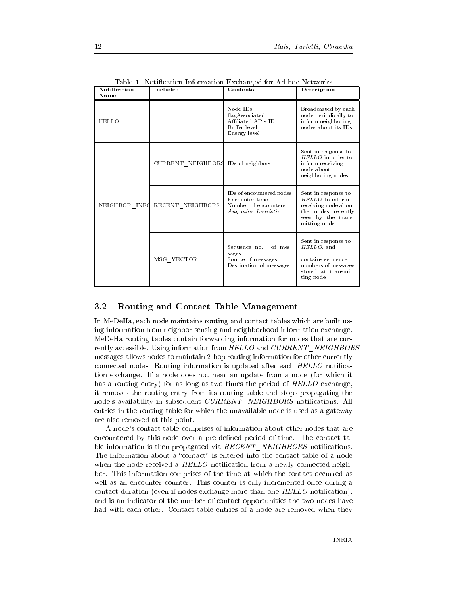| Notification<br>Name | Includes                            | Contents                                                                                  | Description                                                                                                                |
|----------------------|-------------------------------------|-------------------------------------------------------------------------------------------|----------------------------------------------------------------------------------------------------------------------------|
| HELLO                |                                     | Node IDs<br>flagAssociated<br>Affiliated AP's ID<br>Buffer level<br>Energy level          | Broadcasted by each<br>node periodically to<br>inform neighboring<br>nodes about its IDs                                   |
|                      | CURRENT NEIGHBOR\$ IDs of neighbors |                                                                                           | Sent in response to<br>HELLO in order to<br>inform receiving<br>node about<br>neighboring nodes                            |
| NEIGHBOR INFO        | RECENT NEIGHBORS                    | IDs of encountered nodes<br>Encounter time<br>Number of encounters<br>Any other heuristic | Sent in response to<br>HELLO to inform<br>receiving node about<br>the nodes recently<br>seen by the trans-<br>mitting node |
|                      | MSG VECTOR                          | Sequence no.<br>of mes-<br>sages<br>Source of messages<br>Destination of messages         | Sent in response to<br>HELLO, and<br>contains sequence<br>numbers of messages<br>stored at transmit-<br>ting node          |

<span id="page-14-1"></span>Table 1: Notification Information Exchanged for Ad hoc Networks

#### <span id="page-14-0"></span> $3.2$ Routing and Contact Table Management

In MeDeHa, each node maintains routing and contact tables which are built using information from neighbor sensing and neighborhood information exchange. MeDeHa routing tables contain forwarding information for nodes that are currently accessible. Using information from HELLO and CURRENT NEIGHBORS messages allows nodes to maintain 2-hop routing information for other currently connected nodes. Routing information is updated after each HELLO notification exchange. If a node does not hear an update from a node (for which it has a routing entry) for as long as two times the period of HELLO exchange, it removes the routing entry from its routing table and stops propagating the node's availability in subsequent CURRENT NEIGHBORS notifications. All entries in the routing table for which the unavailable node is used as a gateway are also removed at this point.

A node's contact table comprises of information about other nodes that are encountered by this node over a pre-defined period of time. The contact table information is then propagated via  $RECENT$  NEIGHBORS notifications. The information about a "contact" is entered into the contact table of a node when the node received a HELLO notification from a newly connected neighbor. This information comprises of the time at which the contact occurred as well as an encounter counter. This counter is only incremented once during a contact duration (even if nodes exchange more than one  $HELLO$  notification), and is an indicator of the number of contact opportunities the two nodes have had with each other. Contact table entries of a node are removed when they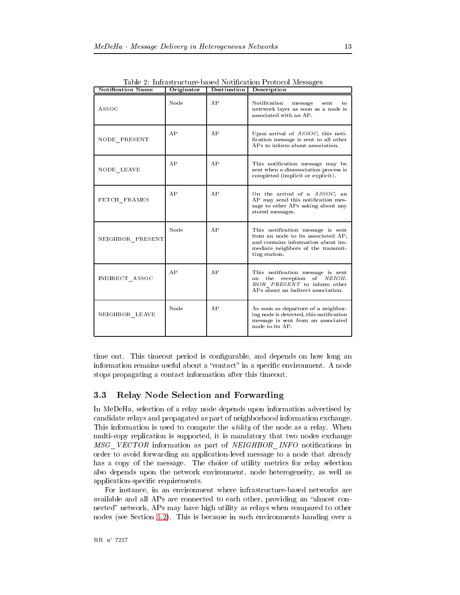| <b>Notification Name</b> | Originator | Destination    | Description                                                                                                                                                          |
|--------------------------|------------|----------------|----------------------------------------------------------------------------------------------------------------------------------------------------------------------|
| ASSOC                    | Node       | A P            | Notification<br>message<br>sent<br>t.o<br>nettwork layer as soon as a node is<br>associated with an AP.                                                              |
| NODE PRESENT             | AP         | AP             | Upon arrival of ASSOC, this noti-<br>fication message is sent to all other<br>APs to inform about association.                                                       |
| NODE LEAVE               | AP         | A <sub>P</sub> | This notification message may be<br>sent when a disassociation process is<br>completed (implicit or explicit).                                                       |
| FETCH FRAMES             | A P        | AP             | On the arrival of a ASSOC, an<br>AP may send this notification mes-<br>sage to other APs asking about any<br>stored messages.                                        |
| NEIGHBOR PRESENT         | Node       | AP             | This notification message is sent<br>from an node to its associated AP,<br>and contains information about im-<br>mediate neighbors of the transmit-<br>ting station. |
| INDIRECT ASSOC           | AP         | AP             | This notification message is sent<br>the reception<br>of NEIGH-<br>on<br>BOR PRESENT to inform other<br>APs about an indirect association.                           |
| NEIGHBOR LEAVE           | Node       | AP             | As soon as departure of a neighbor-<br>ing node is detected, this notification<br>message is sent from an associated<br>node to its AP.                              |

<span id="page-15-1"></span>Table 2: Infrastructure-based Notification Protocol Messages

time out. This time out period is configurable, and depends on how long an information remains useful about a "contact" in a specific environment. A node stops propagating a contact information after this timeout.

#### <span id="page-15-0"></span>Relay Node Selection and Forwarding  $3.3$

In MeDeHa, selection of a relay node depends upon information advertised by candidate relays and propagated as part of neighborhood information exchange. This information is used to compute the *utility* of the node as a relay. When multi-copy replication is supported, it is mandatory that two nodes exchange MSG VECTOR information as part of NEIGHBOR INFO notifications in order to avoid forwarding an application-level message to a node that already has a copy of the message. The choice of utility metrics for relay selection also depends upon the network environment, node heterogeneity, as well as application-specific requirements.

For instance, in an environment where infrastructure-based networks are available and all APs are connected to each other, providing an "almost connected" network, APs may have high utility as relays when compared to other nodes (see Section 5.2). This is because in such environments handing over a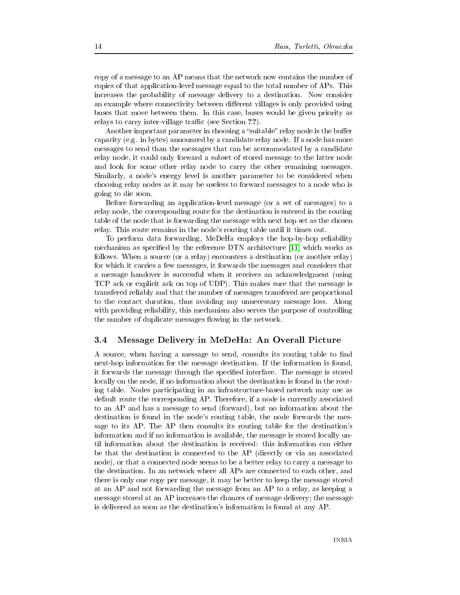copy of a message to an AP means that the network now contains the number of copies of that application-level message equal to the total number of APs. This increases the probability of message delivery to a destination. Now consider an example where connectivity between different villages is only provided using buses that move between them. In this case, buses would be given priority as relays to carry inter-village traffic (see Section ??).

Another important parameter in choosing a "suitable" relay node is the buffer capacity (e.g. in bytes) announced by a candidate relay node. If a node has more messages to send than the messages that can be accommodated by a candidate relay node, it could only forward a subset of stored message to the latter node and look for some other relay node to carry the other remaining messages. Similarly, a node's energy level is another parameter to be considered when choosing relay nodes as it may be useless to forward messages to a node who is going to die soon.

Before forwarding an application-level message (or a set of messages) to a relay node, the corresponding route for the destination is entered in the routing table of the node that is forwarding the message with next hop set as the chosen relay. This route remains in the node's routing table until it times out.

To perform data forwarding, MeDeHa employs the hop-by-hop reliability mechanism as specified by the reference DTN architecture [11] which works as follows. When a source (or a relay) encounters a destination (or another relay) for which it carries a few messages, it forwards the messages and considers that a message handover is successful when it receives an acknowledgment (using TCP ack or explicit ack on top of UDP). This makes sure that the message is transfered reliably and that the number of messages transfered are proportional to the contact duration, thus avoiding any unnecessary message loss. Along with providing reliability, this mechanism also serves the purpose of controlling the number of duplicate messages flowing in the network.

#### <span id="page-16-0"></span> $3.4\,$ Message Delivery in MeDeHa: An Overall Picture

A source, when having a message to send, consults its routing table to find next-hop information for the message destination. If the information is found, it forwards the message through the specified interface. The message is stored locally on the node, if no information about the destination is found in the routing table. Nodes participating in an infrastructure-based network may use as default route the corresponding AP. Therefore, if a node is currently associated to an AP and has a message to send (forward), but no information about the destination is found in the node's routing table, the node forwards the message to its AP. The AP then consults its routing table for the destination's information and if no information is available, the message is stored locally until information about the destination is received: this information can either be that the destination is connected to the AP (directly or via an associated node), or that a connected node seems to be a better relay to carry a message to the destination. In an network where all APs are connected to each other, and there is only one copy per message, it may be better to keep the message stored at an AP and not forwarding the message from an AP to a relay, as keeping a message stored at an AP increases the chances of message delivery; the message is delivered as soon as the destination's information is found at any AP.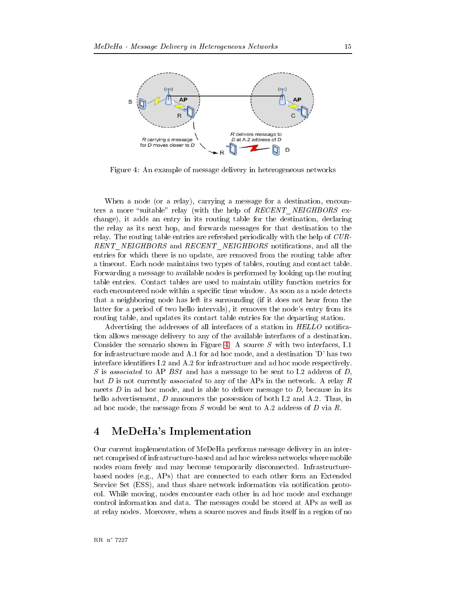

<span id="page-17-1"></span>Figure 4: An example of message delivery in heterogeneous networks

When a node (or a relay), carrying a message for a destination, encounters a more "suitable" relay (with the help of RECENT NEIGHBORS exchange), it adds an entry in its routing table for the destination, declaring the relay as its next hop, and forwards messages for that destination to the relay. The routing table entries are refreshed periodically with the help of CUR-RENT\_NEIGHBORS and RECENT\_NEIGHBORS notifications, and all the entries for which there is no update, are removed from the routing table after a timeout. Each node maintains two types of tables, routing and contact table. Forwarding a message to available nodes is performed by looking up the routing table entries. Contact tables are used to maintain utility function metrics for each encountered node within a specific time window. As soon as a node detects that a neighboring node has left its surrounding (if it does not hear from the latter for a period of two hello intervals), it removes the node's entry from its routing table, and updates its contact table entries for the departing station.

Advertising the addresses of all interfaces of a station in HELLO notification allows message delivery to any of the available interfaces of a destination. Consider the scenario shown in Figure 4. A source  $S$  with two interfaces, I.1 for infrastructure mode and A.1 for ad hoc mode, and a destination 'D' has two interface identifiers I.2 and A.2 for infrastructure and ad hoc mode respectively. S is associated to AP BS1 and has a message to be sent to I.2 address of D, but  $D$  is not currently associated to any of the APs in the network. A relay  $R$ meets  $D$  in ad hoc mode, and is able to deliver message to  $D$ , because in its hello advertisement, D announces the possession of both I.2 and A.2. Thus, in ad hoc mode, the message from  $S$  would be sent to A.2 address of  $D$  via  $R$ .

#### <span id="page-17-0"></span>MeDeHa's Implementation  $\overline{\mathbf{4}}$

Our current implementation of MeDeHa performs message delivery in an internet comprised of infrastructure-based and ad hoc wireless networks where mobile nodes roam freely and may become temporarily disconnected. Infrastructurebased nodes (e.g.,  $APs$ ) that are connected to each other form an Extended Service Set (ESS), and thus share network information via notification protocol. While moving, nodes encounter each other in ad hoc mode and exchange control information and data. The messages could be stored at APs as well as at relay nodes. Moreover, when a source moves and finds itself in a region of no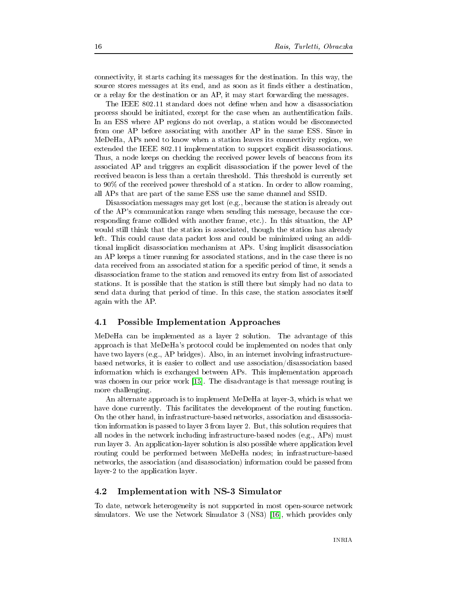connectivity, it starts caching its messages for the destination. In this way, the source stores messages at its end, and as soon as it finds either a destination, or a relay for the destination or an AP, it may start forwarding the messages.

The IEEE 802.11 standard does not define when and how a disassociation process should be initiated, except for the case when an authentification fails. In an ESS where AP regions do not overlap, a station would be disconnected from one AP before associating with another AP in the same ESS. Since in MeDeHa, APs need to know when a station leaves its connectivity region, we extended the IEEE 802.11 implementation to support explicit disassociations. Thus, a node keeps on checking the received power levels of beacons from its associated AP and triggers an explicit disassociation if the power level of the received beacon is less than a certain threshold. This threshold is currently set to 90% of the received power threshold of a station. In order to allow roaming, all APs that are part of the same ESS use the same channel and SSID.

Disassociation messages may get lost (e.g., because the station is already out of the AP's communication range when sending this message, because the corresponding frame collided with another frame, etc.). In this situation, the AP would still think that the station is associated, though the station has already left. This could cause data packet loss and could be minimized using an additional implicit disassociation mechanism at APs. Using implicit disassociation an AP keeps a timer running for associated stations, and in the case there is no data received from an associated station for a specific period of time, it sends a disassociation frame to the station and removed its entry from list of associated stations. It is possible that the station is still there but simply had no data to send data during that period of time. In this case, the station associates itself again with the AP.

#### <span id="page-18-0"></span>**Possible Implementation Approaches**  $4.1$

MeDeHa can be implemented as a layer 2 solution. The advantage of this approach is that MeDeHa's protocol could be implemented on nodes that only have two layers (e.g., AP bridges). Also, in an internet involving infrastructurebased networks, it is easier to collect and use association/disassociation based information which is exchanged between APs. This implementation approach was chosen in our prior work [15]. The disadvantage is that message routing is more challenging.

An alternate approach is to implement MeDeHa at layer-3, which is what we have done currently. This facilitates the development of the routing function. On the other hand, in infrastructure-based networks, association and disassociation information is passed to layer 3 from layer 2. But, this solution requires that all nodes in the network including infrastructure-based nodes (e.g., APs) must run layer 3. An application-layer solution is also possible where application level routing could be performed between MeDeHa nodes; in infrastructure-based networks, the association (and disassociation) information could be passed from layer-2 to the application layer.

#### <span id="page-18-1"></span>Implementation with NS-3 Simulator 4.2

To date, network heterogeneity is not supported in most open-source network simulators. We use the Network Simulator 3 (NS3) [16], which provides only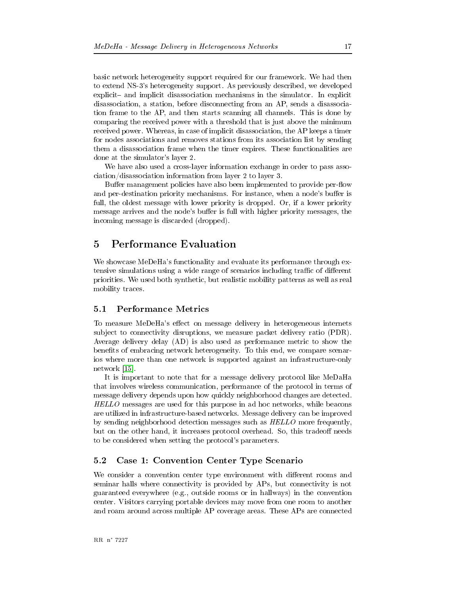basic network heterogeneity support required for our framework. We had then to extend NS-3's heterogeneity support. As previously described, we developed explicit- and implicit disassociation mechanisms in the simulator. In explicit disassociation, a station, before disconnecting from an AP, sends a disassociation frame to the AP, and then starts scanning all channels. This is done by comparing the received power with a threshold that is just above the minimum received power. Whereas, in case of implicit disassociation, the AP keeps a timer for nodes associations and removes stations from its association list by sending them a disassociation frame when the timer expires. These functionalities are done at the simulator's layer 2.

We have also used a cross-layer information exchange in order to pass asso $ciation/dissociation information from layer 2 to layer 3.$ 

Buffer management policies have also been implemented to provide per-flow and per-destination priority mechanisms. For instance, when a node's buffer is full, the oldest message with lower priority is dropped. Or, if a lower priority message arrives and the node's buffer is full with higher priority messages, the incoming message is discarded (dropped).

#### <span id="page-19-0"></span> $\overline{5}$ **Performance Evaluation**

We showcase MeDeHa's functionality and evaluate its performance through extensive simulations using a wide range of scenarios including traffic of different priorities. We used both synthetic, but realistic mobility patterns as well as real mobility traces.

#### <span id="page-19-1"></span> $5.1$ **Performance Metrics**

To measure MeDeHa's effect on message delivery in heterogeneous internets subject to connectivity disruptions, we measure packet delivery ratio (PDR). Average delivery delay (AD) is also used as performance metric to show the benefits of embracing network heterogeneity. To this end, we compare scenarios where more than one network is supported against an infrastructure-only network  $[15]$ .

It is important to note that for a message delivery protocol like MeDaHa that involves wireless communication, performance of the protocol in terms of message delivery depends upon how quickly neighborhood changes are detected. *HELLO* messages are used for this purpose in ad hoc networks, while beacons are utilized in infrastructure-based networks. Message delivery can be improved by sending neighborhood detection messages such as HELLO more frequently, but on the other hand, it increases protocol overhead. So, this tradeoff needs to be considered when setting the protocol's parameters.

#### <span id="page-19-2"></span>Case 1: Convention Center Type Scenario  $5.2$

We consider a convention center type environment with different rooms and seminar halls where connectivity is provided by APs, but connectivity is not guaranteed everywhere (e.g., outside rooms or in hallways) in the convention center. Visitors carrying portable devices may move from one room to another and roam around across multiple AP coverage areas. These APs are connected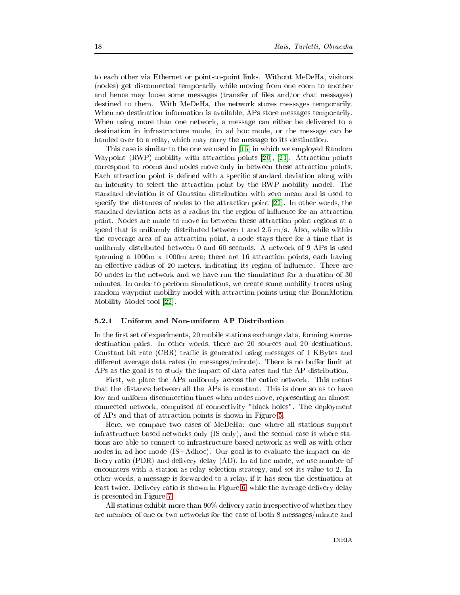to each other via Ethernet or point-to-point links. Without MeDeHa, visitors (nodes) get disconnected temporarily while moving from one room to another and hence may loose some messages (transfer of files and/or chat messages) destined to them. With MeDeHa, the network stores messages temporarily. When no destination information is available, APs store messages temporarily. When using more than one network, a message can either be delivered to a destination in infrastructure mode, in ad hoc mode, or the message can be handed over to a relay, which may carry the message to its destination.

This case is similar to the one we used in [15] in which we employed Random Waypoint (RWP) mobility with attraction points [20], [21]. Attraction points correspond to rooms and nodes move only in between these attraction points. Each attraction point is defined with a specific standard deviation along with an intensity to select the attraction point by the RWP mobility model. The standard deviation is of Gaussian distribution with zero mean and is used to specify the distances of nodes to the attraction point [22]. In other words, the standard deviation acts as a radius for the region of influence for an attraction point. Nodes are made to move in between these attraction point regions at a speed that is uniformly distributed between 1 and 2.5 m/s. Also, while within the coverage area of an attraction point, a node stays there for a time that is uniformly distributed between 0 and 60 seconds. A network of 9 APs is used spanning a 1000m  $\ge$  1000m area; there are 16 attraction points, each having an effective radius of 20 meters, indicating its region of influence. There are 50 nodes in the network and we have run the simulations for a duration of 30 minutes. In order to perform simulations, we create some mobility traces using random waypoint mobility model with attraction points using the BonnMotion Mobility Model tool [22].

#### <span id="page-20-0"></span> $5.2.1$ Uniform and Non-uniform AP Distribution

In the first set of experiments, 20 mobile stations exchange data, forming sourcedestination pairs. In other words, there are 20 sources and 20 destinations. Constant bit rate (CBR) traffic is generated using messages of 1 KBytes and different average data rates (in messages/minute). There is no buffer limit at APs as the goal is to study the impact of data rates and the AP distribution.

First, we place the APs uniformly across the entire network. This means that the distance between all the APs is constant. This is done so as to have low and uniform disconnection times when nodes move, representing an almostconnected network, comprised of connectivity "black holes". The deployment of APs and that of attraction points is shown in Figure 5.

Here, we compare two cases of MeDeHa: one where all stations support infrastructure based networks only (IS only), and the second case is where stations are able to connect to infrastructure based network as well as with other nodes in ad hoc mode (IS+Adhoc). Our goal is to evaluate the impact on delivery ratio (PDR) and delivery delay (AD). In ad hoc mode, we use number of encounters with a station as relay selection strategy, and set its value to 2. In other words, a message is forwarded to a relay, if it has seen the destination at least twice. Delivery ratio is shown in Figure 6, while the average delivery delay is presented in Figure 7.

All stations exhibit more than 90% delivery ratio irrespective of whether they are member of one or two networks for the case of both 8 messages/minute and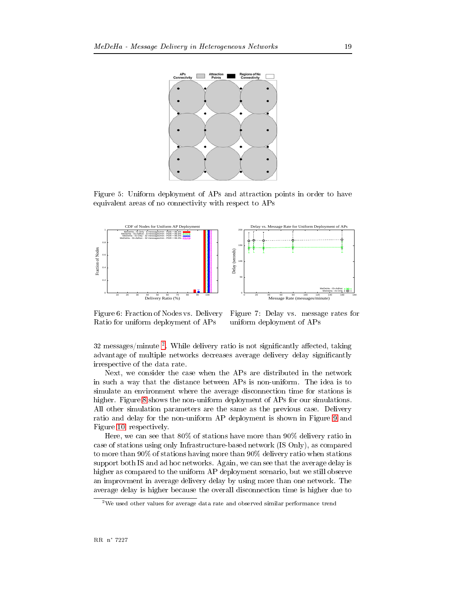

<span id="page-21-0"></span>5\$  H I, ) , 8   -( (  , () -  8



<span id="page-21-1"></span>5\$  G 5 , (- /() , and the set of the set of the set of the set of the set of the set of the set of the set of the set of the set of the set of the set of the set of the set of the set of the set of the set of the set of the set of the se

<span id="page-21-2"></span>5\$  /) (- \$  , , and the contract of the contract of the contract of the contract of the contract of the contract of the contract of the contract of the contract of the contract of the contract of the contract of the contract of the con

52 messages/minute -. While delivery ratio is not significantly affected, taking  $\mathcal{L}$  , and a set of the set of the set of the set of the set of the set of the set of the set of the set of the set of the set of the set of the set of the set of the set of the set of the set of the set of the set of  $\mathcal{L} = \{ \mathcal{L} \mid \mathcal{L} = \mathcal{L} \}$  , and the set of  $\mathcal{L} = \{ \mathcal{L} \mid \mathcal{L} = \mathcal{L} \}$  , where  $\mathcal{L} = \{ \mathcal{L} \mid \mathcal{L} = \mathcal{L} \}$ 

9&  - - - 8  \* -  - ) - - \* 8 ,- - ( - - (\$ , -\$-- 5\$  [#](#page-22-1) - - , ) , 8 ,  - 8 -   - - ( - /()  ) , - , 8 ) - 5\$  [F](#page-22-2)  $\blacksquare$  . The set of the set of the set of the set of the set of the set of the set of the set of the set of the set of the set of the set of the set of the set of the set of the set of the set of the set of the set of the

 $\blacksquare$  . The state of the state of the state of the state of the state of the state of the state of the state of the state of the state of the state of the state of the state of the state of the state of the state of the  $\mathbf{A}$  , and the set of the set of the set of the set of the set of the set of the set of the set of the set of the set of the set of the set of the set of the set of the set of the set of the set of the set of the set  - F!Q , -(\$  - F!Q ()  -  \*- %@ - - 8\$& - - (\$ ) -\$-  - , 8 ) & \* \*( ( (\$ () ) \*) \$  - - - (\$ ) -\$- \* - ( -\$-

<span id="page-21-3"></span><sup>-</sup> we used other values for average data rate and observed similar performance trend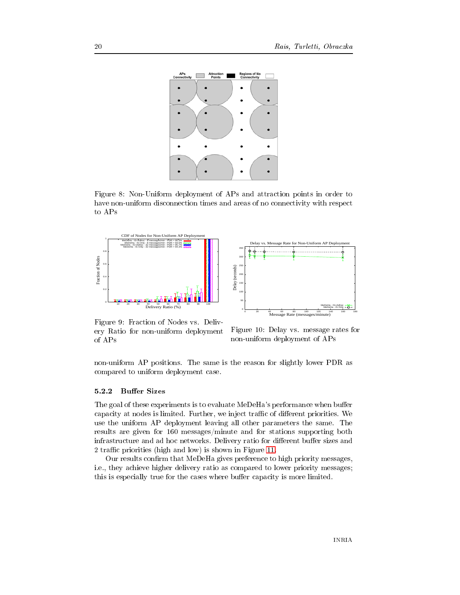

<span id="page-22-1"></span>5\$  # I, ) , 8   -( ,  , ()  to APs





<span id="page-22-2"></span> $\mathbf{f}$  5  $\mathbf{f}$  5  $\mathbf{f}$  5  $\mathbf{f}$  5  $\mathbf{f}$  5  $\mathbf{f}$  5  $\mathbf{f}$  5  $\mathbf{f}$  5  $\mathbf{f}$  5  $\mathbf{f}$  5  $\mathbf{f}$  5  $\mathbf{f}$  5  $\mathbf{f}$  5  $\mathbf{f}$  5  $\mathbf{f}$  5  $\mathbf{f}$  5  $\mathbf{f}$  5  $\mathbf{f}$  5  $\mathbf{f}$  5  $\mathbf{f}$  5  $\mathcal{A}$  , and a set of the set of the set of the set of the set of the set of the set of the set of the set of the set of the set of the set of the set of the set of the set of the set of the set of the set of the set of of APs

<span id="page-22-3"></span> $\mathbf{A}$  , and  $\mathbf{A}$  , and  $\mathbf{A}$  , and  $\mathbf{A}$  , and  $\mathbf{A}$  , and  $\mathbf{A}$  , and  $\mathbf{A}$ , and the contract of the contract of the contract of the contract of the contract of the contract of the contract of the contract of the contract of the contract of the contract of the contract of the contract of the con

<span id="page-22-0"></span> , 8 - - -  , \$-)  /  , ) -

- \$ , - 9  ( /06 , - \* > capacity at nodes is limited. Further, we inject traffic of different priorities. We - , 8 ) (\$ -  - - -   \$( , "G! \$+ , \$ \*-,  - - /()  , > \* > ? 2 traffic priorities (high and low) is shown in Figure 11.

 $\blacksquare$  . The set of the set of the set of the set of the set of the set of the set of the set of the set of the set of the set of the set of the set of the set of the set of the set of the set of the set of the set of the  $\blacksquare$  and the contract of the contract of the contract of the contract of the contract of the contract of the contract of the contract of the contract of the contract of the contract of the contract of the contract of th - 
)  , - - \* > 
)  -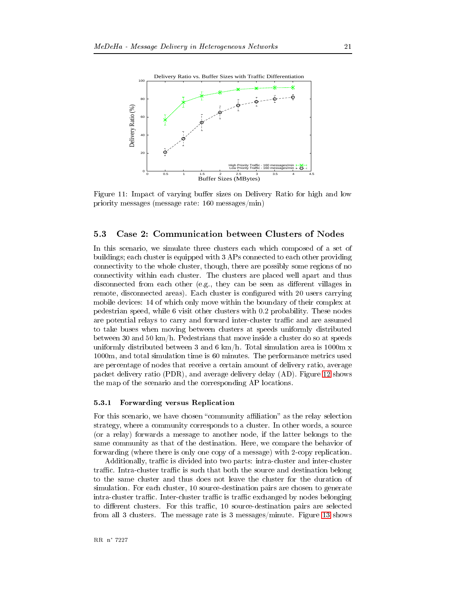

<span id="page-23-2"></span>Figure 11: Impact of varying buffer sizes on Delivery Ratio for high and low priority messages (message rate:  $160$  messages/min)

#### <span id="page-23-0"></span> $5.3$ Case 2: Communication between Clusters of Nodes

In this scenario, we simulate three clusters each which composed of a set of buildings; each cluster is equipped with 3 APs connected to each other providing connectivity to the whole cluster, though, there are possibly some regions of no connectivity within each cluster. The clusters are placed well apart and thus disconnected from each other (e.g., they can be seen as different villages in remote, disconnected areas). Each cluster is configured with 20 users carrying mobile devices: 14 of which only move within the boundary of their complex at pedestrian speed, while 6 visit other clusters with 0.2 probability. These nodes are potential relays to carry and forward inter-cluster traffic and are assumed to take buses when moving between clusters at speeds uniformly distributed between 30 and 50 km/h. Pedestrians that move inside a cluster do so at speeds uniformly distributed between 3 and 6 km/h. Total simulation area is 1000m x 1000m, and total simulation time is 60 minutes. The performance metrics used are percentage of nodes that receive a certain amount of delivery ratio, average packet delivery ratio (PDR), and average delivery delay (AD). Figure 12 shows the map of the scenario and the corresponding AP locations.

#### <span id="page-23-1"></span>Forwarding versus Replication 5.3.1

For this scenario, we have chosen "community affiliation" as the relay selection strategy, where a community corresponds to a cluster. In other words, a source (or a relay) forwards a message to another node, if the latter belongs to the same community as that of the destination. Here, we compare the behavior of forwarding (where there is only one copy of a message) with 2-copy replication.

Additionally, traffic is divided into two parts: intra-cluster and inter-cluster traffic. Intra-cluster traffic is such that both the source and destination belong to the same cluster and thus does not leave the cluster for the duration of simulation. For each cluster, 10 source-destination pairs are chosen to generate intra-cluster traffic. Inter-cluster traffic is traffic exchanged by nodes belonging to different clusters. For this traffic, 10 source-destination pairs are selected from all 3 clusters. The message rate is 3 messages/minute. Figure 13 shows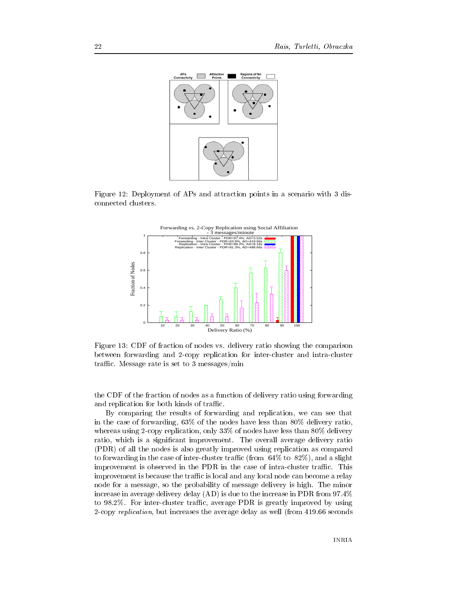

5\$  " / ) , 8   - <sup>E</sup>

<span id="page-24-0"></span>

<span id="page-24-1"></span>5\$  "E /5 , , , (- ()  -\$ -  \* ,\$ )  ,     traffic. Message rate is set to 3 messages/min

. The set of the set of the set of the set of the set of the set of the set of the set of the set of the set of the set of the set of the set of the set of the set of the set of the set of the set of the set of the set of and replication for both kinds of traffic.

7) \$ -  , ,\$  
& - - , ,\$& GEQ , - -( - #!Q () & - \$ )  
& ) EEQ , -( - #!Q () & -- \$= (- - ( (\$ ()   $\mathbf{1}$ to forwarding in the case of inter-cluster traffic (from  $64\%$  to  $82\%$ ), and a slight improvement is observed in the PDR in the case of intra-cluster traffic. This improvement is because the traffic is local and any local node can become a relay , \$& - \*\*) , \$ () -\$-- -   (\$ () ) 18/4 -  / , F-DQ to 98.2%. For inter-cluster traffic, average PDR is greatly improved by using ) 3 
-& \*  - (\$ ) 1, D"F-GG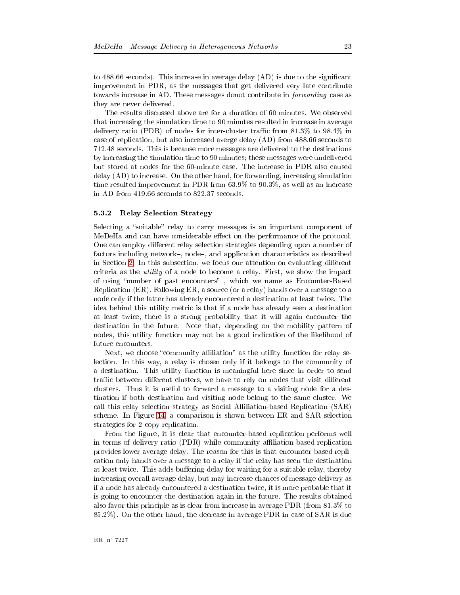to 488.66 seconds). This increase in average delay  $(AD)$  is due to the significant improvement in PDR, as the messages that get delivered very late contribute towards increase in AD. These messages donot contribute in *forwarding* case as they are never delivered.

The results discussed above are for a duration of 60 minutes. We observed that increasing the simulation time to 90 minutes resulted in increase in average delivery ratio (PDR) of nodes for inter-cluster traffic from  $81.3\%$  to  $98.4\%$  in case of replication, but also increased averge delay (AD) from 488.66 seconds to 712.48 seconds. This is because more messages are delivered to the destinations by increasing the simulation time to 90 minutes; these messages were undelivered but stored at nodes for the 60-minute case. The increase in PDR also caused  $\text{delay}(\text{AD})$  to increase. On the other hand, for forwarding, increasing simulation time resulted improvement in PDR from  $63.9\%$  to  $90.3\%$ , as well as an increase in AD from 419.66 seconds to 822.37 seconds.

#### <span id="page-25-0"></span>5.3.2 **Relay Selection Strategy**

Selecting a "suitable" relay to carry messages is an important component of MeDeHa and can have considerable effect on the performance of the protocol. One can employ different relay selection strategies depending upon a number of factors including network–, node–, and application characteristics as described in Section 2. In this subsection, we focus our attention on evaluating different criteria as the *utility* of a node to become a relay. First, we show the impact of using "number of past encounters", which we name as Encounter-Based Replication (ER). Following ER, a source (or a relay) hands over a message to a node only if the latter has already encountered a destination at least twice. The idea behind this utility metric is that if a node has already seen a destination at least twice, there is a strong probability that it will again encounter the destination in the future. Note that, depending on the mobility pattern of nodes, this utility function may not be a good indication of the likelihood of future encounters.

Next, we choose "community affiliation" as the utility function for relay selection. In this way, a relay is chosen only if it belongs to the community of a destination. This utility function is meaningful here since in order to send traffic between different clusters, we have to rely on nodes that visit different clusters. Thus it is useful to forward a message to a visiting node for a destination if both destination and visiting node belong to the same cluster. We call this relay selection strategy as Social Affiliation-based Replication (SAR) scheme. In Figure 14, a comparison is shown between ER and SAR selection strategies for 2-copy replication.

From the figure, it is clear that encounter-based replication performs well in terms of delivery ratio (PDR) while community affiliation-based replication provides lower average delay. The reason for this is that encounter-based replication only hands over a message to a relay if the relay has seen the destination at least twice. This adds buffering delay for waiting for a suitable relay, thereby increasing overall average delay, but may increase chances of message delivery as if a node has already encountered a destination twice, it is more probable that it is going to encounter the destination again in the future. The results obtained also favor this principle as is clear from increase in average PDR (from  $81.3\%$  to 85.2%). On the other hand, the decrease in average PDR in case of SAR is due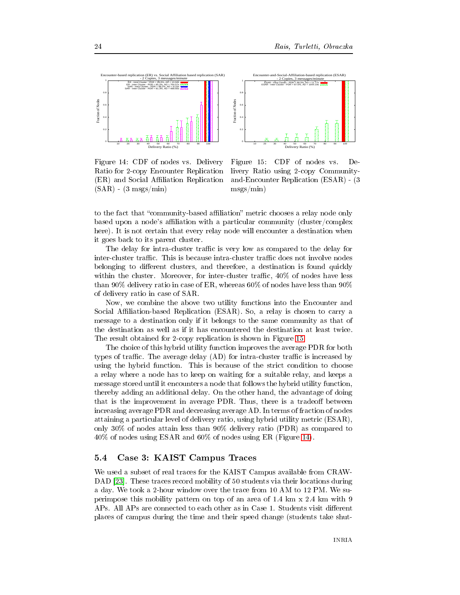

Fraction of Nodes Fraction of Nodes 0.6 0.4 0.2 0 10 20 30 40 50 60 70 80 90 100 Delivery Ratio (%)

Encounter-and-Social-Affiliation-based replication (ESAR) - 2 Copies, 3 messages/minute ESAR - Intra Cluster - PDR = 99.3%, AD = 11.77s ESAR - Inter Cluster - PDR = 87.6%, AD = 1044.19s

<span id="page-26-1"></span>5\$  "D /5 , (- /() , ) :  (ER) and Social Affiliation Replication  $(SAR) - (3 \text{ msgs/min})$ 

<span id="page-26-2"></span>5\$  "H /5 , (- / () \$ ) ) :  1:@84 1E  $\text{msgs/min}$ 

to the fact that "community-based affiliation" metric chooses a relay node only based upon a node's affiliation with a particular community (cluster/complex  $\mathcal{A}$  . The state of the state of the state of the state of the state of the state of the state of the state of the state of the state of the state of the state of the state of the state of the state of the state of th \$ \*  -

 0.8 1

The delay for intra-cluster traffic is very low as compared to the delay for inter-cluster traffic. This is because intra-cluster traffic does not involve nodes \*\$\$ > & -,& , ) within the cluster. Moreover, for inter-cluster traffic,  $40\%$  of nodes have less - F!Q ()  , :& - G!Q , -( - F!Q of delivery ratio in case of SAR.

. A second contract the contract of the contract of the contract of the contract of the contract of the contract of the contract of the contract of the contract of the contract of the contract of the contract of the contra Social Affiliation-based Replication (ESAR). So, a relay is chosen to carry a \$ ) , \*\$ - ) - , - , -  - - -  \* , )  - 5\$  ["H-](#page-26-2)

- - , - -)\* ) , ( - (\$ / , \*types of traffic. The average delay  $(AD)$  for intra-cluster traffic is increased by  $\mathbf{A}$  $\mathcal{L}$  , and  $\mathcal{L}$  , and  $\mathcal{L}$  , and  $\mathcal{L}$  , and  $\mathcal{L}$  , and  $\mathcal{L}$  , and  $\mathcal{L}$  , and  $\mathcal{L}$  , and  $\mathcal{L}$  , and  $\mathcal{L}$  , and  $\mathcal{L}$  , and  $\mathcal{L}$  , and  $\mathcal{L}$  , and  $\mathcal{L}$  , and  $\mathcal{L}$  ,  $\mathbf{A}$ -\*) \$ )- < - - -& - (\$ , \$ - - ( (\$ /- - & - > \* increasing average PDR and decreasing average AD. In terms of fraction of nodes \$   ( , () & \$ -)\* )  1:@84& ) E!Q , - F!Q ()  1/4   $\mathcal{L} = \mathcal{L} = \mathcal{L} = \mathcal{L} = \mathcal{L} = \mathcal{L} = \mathcal{L} = \mathcal{L} = \mathcal{L} = \mathcal{L} = \mathcal{L} = \mathcal{L} = \mathcal{L} = \mathcal{L} = \mathcal{L} = \mathcal{L} = \mathcal{L} = \mathcal{L} = \mathcal{L} = \mathcal{L} = \mathcal{L} = \mathcal{L} = \mathcal{L} = \mathcal{L} = \mathcal{L} = \mathcal{L} = \mathcal{L} = \mathcal{L} = \mathcal{L} = \mathcal{L} = \mathcal{L} = \mathcal$ 

#### <span id="page-26-0"></span> $5.4$ 4 Case 3: KAIST Campus Traces

. \* ,   , - J8%@ (\* , 8. /8/ [KE℄](#page-30-9)- -  
 \*) , H! ( - \$  $\mathcal{L} = \{ \mathcal{L} = \mathcal{L} \}$  . The set of the set of the set of the set of the set of the set of the set of the set of the set of the set of the set of the set of the set of the set of the set of the set of the set of the s  $\mathbf{P}$  , and  $\mathbf{P}$  , and  $\mathbf{P}$  , and  $\mathbf{P}$  , and  $\mathbf{P}$  , and  $\mathbf{P}$  , and  $\mathbf{P}$  , and  $\mathbf{P}$  , \$ - - -\$ 1 -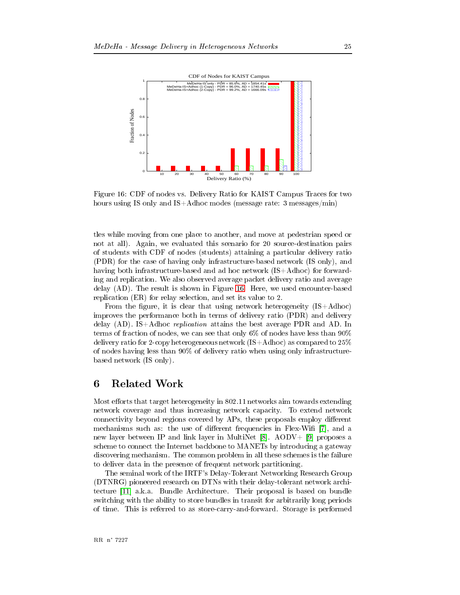

<span id="page-27-1"></span>5\$  "G /5 , (- /() , J8%@  , -  \$ %@ ) %@T8- 1\$  <sup>E</sup> \$+4

 $\mathbf{A}$  , and the contract of the contract of the contract of the contract of the contract of the contract of the contract of the contract of the contract of the contract of the contract of the contract of the contract o 4- 8\$& ( -  , !   , - /5 , 1 4 \$   ()  1/4 , - , -(\$ ) , \*  1%@ )4& -(\$ \*- , \* -  1%@T8-4 , , ing and replication. We also observed average packet delivery ratio and average  $\mathbf{A}$  . The state of  $\mathbf{A}$  $\mathbf{1}$  , and  $\mathbf{1}$  , and  $\mathbf{1}$  , and  $\mathbf{1}$  , and  $\mathbf{1}$  , and  $\mathbf{1}$  , and  $\mathbf{1}$  , and  $\mathbf{1}$  , and  $\mathbf{1}$  , and  $\mathbf{1}$  , and  $\mathbf{1}$  , and  $\mathbf{1}$  , and  $\mathbf{1}$  , and  $\mathbf{1}$  , and  $\mathbf{1}$  ,

 $\mathbf{A}$  . The state of  $\mathbf{A}$  is the state of  $\mathbf{A}$  is the state of  $\mathbf{A}$  ( - , \*-  , ()  1/4 () ) 18/4- %@T8- 3 
- - \* (\$ / 8/- %  , , , & - ) GQ , -( - F!Q ()  , ) -\$  1%@T8-4  HQ  $\sim$  , and  $\sim$  , and  $\sim$  , and  $\sim$  , and  $\sim$  , and  $\sim$  . The same  $\sim$  , and  $\sim$  , and  $\sim$  , and  $\sim$  , and  $\sim$ based network (IS only).

<span id="page-27-0"></span> > - \$ -\$) #!-""   9\$  $\mathbf{A}$  , and the set of the set of the set of the set of the set of the set of the set of the set of the set of the set of the set of the set of the set of the set of the set of the set of the set of the set of the set  $\blacksquare$  . The contract of the contract of the contract of the contract of the contract of the contract of the contract of the contract of the contract of the contract of the contract of the contract of the contract of the - The state of the state of the state of the state of the state of the state of the state of the state of the state of the state of the state of the state of the state of the state of the state of the state of the state of ) \* % ) [K#℄](#page-29-8)- 8</RT [KF℄](#page-29-9) - - % \*
\* 8
: \*)  \$ \$) (\$ -- - \* - - - ,  ( -  , ,  \$-

-  , - %56 /) \$ 
- P  $\mathbf{1}$  . The set of the set of the set of the set of the set of the set of the set of the set of the set of the set of the set of the set of the set of the set of the set of the set of the set of the set of the set of t  $\blacksquare$  . The set of the set of the set of the set of the set of the set of the set of the set of the set of the set of the set of the set of the set of the set of the set of the set of the set of the set of the set of the  $\mathcal{L}$  . The set of the set of the set of the set of the set of the set of the set of the set of the set of the set of the set of the set of the set of the set of the set of the set of the set of the set of the set of t , - - , 
),- @\$ ,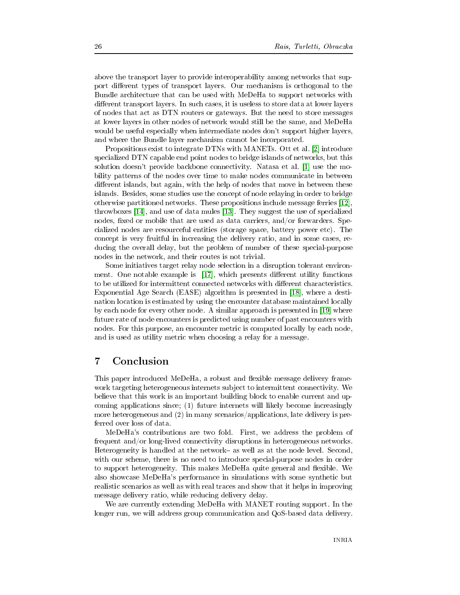above the transport layer to provide interoperability among networks that support different types of transport layers. Our mechanism is orthogonal to the Bundle architecture that can be used with MeDeHa to support networks with different transport layers. In such cases, it is useless to store data at lower layers of nodes that act as DTN routers or gateways. But the need to store messages at lower layers in other nodes of network would still be the same, and MeDeHa would be useful especially when intermediate nodes don't support higher layers, and where the Bundle layer mechanism cannot be incorporated.

Propositions exist to integrate DTNs with MANETs. Ott et al. [2] introduce specialized DTN capable end point nodes to bridge islands of networks, but this solution doesn't provide backbone connectivity. Natasa et al. [1] use the mobility patterns of the nodes over time to make nodes communicate in between different islands, but again, with the help of nodes that move in between these islands. Besides, some studies use the concept of node relaying in order to bridge otherwise partitioned networks. These propositions include message ferries [12], throwboxes [14], and use of data mules [13]. They suggest the use of specialized nodes, fixed or mobile that are used as data carriers, and/or forwarders. Specialized nodes are resourceful entities (storage space, battery power etc). The concept is very fruitful in increasing the delivery ratio, and in some cases, reducing the overall delay, but the problem of number of these special-purpose nodes in the network, and their routes is not trivial.

Some initiatives target relay node selection in a disruption tolerant environment. One notable example is  $|17|$ , which presents different utility functions to be utilized for intermittent connected networks with different characteristics. Exponential Age Search (EASE) algorithm is presented in [18], where a destination location is estimated by using the encounter database maintained locally by each node for every other node. A similar approach is presented in [19] where future rate of node encounters is predicted using number of past encounters with nodes. For this purpose, an encounter metric is computed locally by each node, and is used as utility metric when choosing a relay for a message.

### <span id="page-28-0"></span> $\overline{7}$ Conclusion

This paper introduced MeDeHa, a robust and flexible message delivery framework targeting heterogeneous internets subject to intermittent connectivity. We believe that this work is an important building block to enable current and upcoming applications since; (1) future internets will likely become increasingly more heterogeneous and  $(2)$  in many scenarios/applications, late delivery is preferred over loss of data.

MeDeHa's contributions are two fold. First, we address the problem of frequent and/or long-lived connectivity disruptions in heterogeneous networks. Heterogeneity is handled at the network- as well as at the node level. Second, with our scheme, there is no need to introduce special-purpose nodes in order to support heterogeneity. This makes MeDeHa quite general and flexible. We also showcase MeDeHa's performance in simulations with some synthetic but realistic scenarios as well as with real traces and show that it helps in improving message delivery ratio, while reducing delivery delay.

We are currently extending MeDeHa with MANET routing support. In the longer run, we will address group communication and QoS-based data delivery.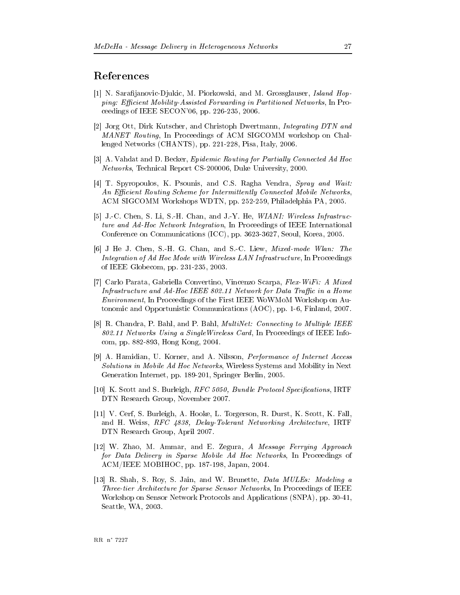### <span id="page-29-1"></span><span id="page-29-0"></span>References

- [1] N. Sarafijanovic-Djukic, M. Piorkowski, and M. Grossglauser, *Island Hop*ping: Efficient Mobility-Assisted Forwarding in Partitioned Networks, In Proceedings of IEEE SECON'06, pp. 226-235, 2006.
- <span id="page-29-2"></span>[2] Jorg Ott, Dirk Kutscher, and Christoph Dwertmann, Integrating DTN and MANET Routing, In Proceedings of ACM SIGCOMM workshop on Challenged Networks (CHANTS), pp. 221-228, Pisa, Italy, 2006.
- <span id="page-29-4"></span><span id="page-29-3"></span>[3] A. Vahdat and D. Becker, *Epidemic Routing for Partially Connected Ad Hoc Networks*, Technical Report CS-200006, Duke University, 2000.
- [4] T. Spyropoulos, K. Psounis, and C.S. Ragha Vendra, Spray and Wait: An Efficient Routing Scheme for Intermittently Connected Mobile Networks. ACM SIGCOMM Workshops WDTN, pp. 252-259, Philadelphia PA, 2005.
- <span id="page-29-5"></span>[5] J.-C. Chen, S. Li, S.-H. Chan, and J.-Y. He, *WIANI: Wireless Infrastruc*ture and Ad-Hoc Network Integration, In Proceedings of IEEE International Conference on Communications (ICC), pp. 3623-3627, Seoul, Korea, 2005.
- <span id="page-29-6"></span>[6] J He J. Chen, S.-H. G. Chan, and S.-C. Liew, Mixed-mode Wlan: The Integration of Ad Hoc Mode with Wireless LAN Infrastructure, In Proceedings of IEEE Globecom, pp. 231-235, 2003.
- <span id="page-29-7"></span>[7] Carlo Parata, Gabriella Convertino, Vincenzo Scarpa, Flex-WiFi: A Mixed Infrastructure and Ad-Hoc IEEE 802.11 Network for Data Traffic in a Home *Environment*, In Proceedings of the First IEEE WoWMoM Workshop on Autonomic and Opportunistic Communications (AOC), pp. 1-6, Finland, 2007.
- <span id="page-29-8"></span>[8] R. Chandra, P. Bahl, and P. Bahl, *MultiNet: Connecting to Multiple IEEE* 802.11 Networks Using a Single Wireless Card, In Proceedings of IEEE Infocom, pp. 882-893, Hong Kong, 2004.
- <span id="page-29-9"></span>[9] A. Hamidian, U. Korner, and A. Nilsson, *Performance of Internet Access Solutions in Mobile Ad Hoc Networks*, Wireless Systems and Mobility in Next Generation Internet, pp. 189-201, Springer Berlin, 2005.
- <span id="page-29-10"></span>[10] K. Scott and S. Burleigh, *RFC 5050*, *Bundle Protocol Specifications*, IRTF DTN Research Group, November 2007.
- <span id="page-29-11"></span>[11] V. Cerf, S. Burleigh, A. Hooke, L. Torgerson, R. Durst, K. Scott, K. Fall and H. Weiss, RFC 4838, Delay-Tolerant Networking Architecture, IRTF DTN Research Group, April 2007.
- <span id="page-29-12"></span>[12] W. Zhao, M. Ammar, and E. Zegura, A Message Ferrying Approach for Data Delivery in Sparse Mobile Ad Hoc Networks, In Proceedings of ACM/IEEE MOBIHOC, pp. 187-198, Japan, 2004.
- <span id="page-29-13"></span>[13] R. Shah, S. Roy, S. Jain, and W. Brunette, Data MULEs: Modeling a *Three-tier Architecture for Sparse Sensor Networks*, In Proceedings of IEEE Workshop on Sensor Network Protocols and Applications (SNPA), pp. 30-41. Seattle, WA, 2003.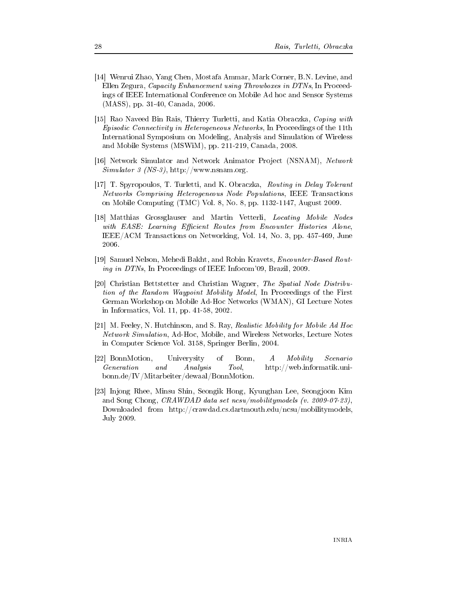- <span id="page-30-0"></span>[14] Wenrui Zhao, Yang Chen, Mostafa Ammar, Mark Corner, B.N. Levine, and Ellen Zegura, Capacity Enhancement using Throwboxes in DTNs, In Proceedings of IEEE International Conference on Mobile Ad hoc and Sensor Systems (MASS), pp. 31-40, Canada, 2006.
- <span id="page-30-1"></span>[15] Rao Naveed Bin Rais, Thierry Turletti, and Katia Obraczka, Coping with *Episodic Connectivity in Heterogeneous Networks*, In Proceedings of the 11th International Symposium on Modeling, Analysis and Simulation of Wireless and Mobile Systems (MSWiM), pp. 211-219, Canada, 2008.
- <span id="page-30-5"></span>[16] Network Simulator and Network Animator Project (NSNAM), Network  $Simulator 3 (NS-3), http://www.nsnam.org.$
- <span id="page-30-2"></span>[17] T. Spyropoulos, T. Turletti, and K. Obraczka, Routing in Delay Tolerant Networks Comprising Heterogeneous Node Populations, IEEE Transactions on Mobile Computing (TMC) Vol. 8, No. 8, pp. 1132-1147, August 2009.
- <span id="page-30-3"></span>[18] Matthias Grossglauser and Martin Vetterli, Locating Mobile Nodes with EASE: Learning Efficient Routes from Encounter Histories Alone, IEEE/ACM Transactions on Networking, Vol. 14, No. 3, pp. 457-469, June 2006.
- <span id="page-30-4"></span>[19] Samuel Nelson, Mehedi Bakht, and Robin Kravets, *Encounter-Based Rout*ing in DTNs, In Proceedings of IEEE Inform 09, Brazil, 2009.
- <span id="page-30-6"></span>[20] Christian Bettstetter and Christian Wagner, The Spatial Node Distribution of the Random Waypoint Mobility Model, In Proceedings of the First German Workshop on Mobile Ad-Hoc Networks (WMAN), GI Lecture Notes in Informatics, Vol. 11, pp. 41-58, 2002.
- <span id="page-30-7"></span>[21] M. Feeley, N. Hutchinson, and S. Ray, Realistic Mobility for Mobile Ad Hoc *Network Simulation*, Ad-Hoc, Mobile, and Wireless Networks, Lecture Notes in Computer Science Vol. 3158, Springer Berlin, 2004.
- <span id="page-30-8"></span>[22] BonnMotion, Univerysity  $\alpha$ f Bonn,  $\boldsymbol{A}$ Mobility Scenario Generation and Analysis Tool,  $http://web.informatik.uni$ bonn.de/IV/Mitarbeiter/dewaal/BonnMotion.
- <span id="page-30-9"></span>[23] Injong Rhee, Minsu Shin, Seongik Hong, Kyunghan Lee, Seongjoon Kim and Song Chong, CRAWDAD data set  $ncsu/mobility models$  (v. 2009-07-23). Downloaded from http://crawdad.cs.dartmouth.edu/ncsu/mobilitymodels, July 2009.